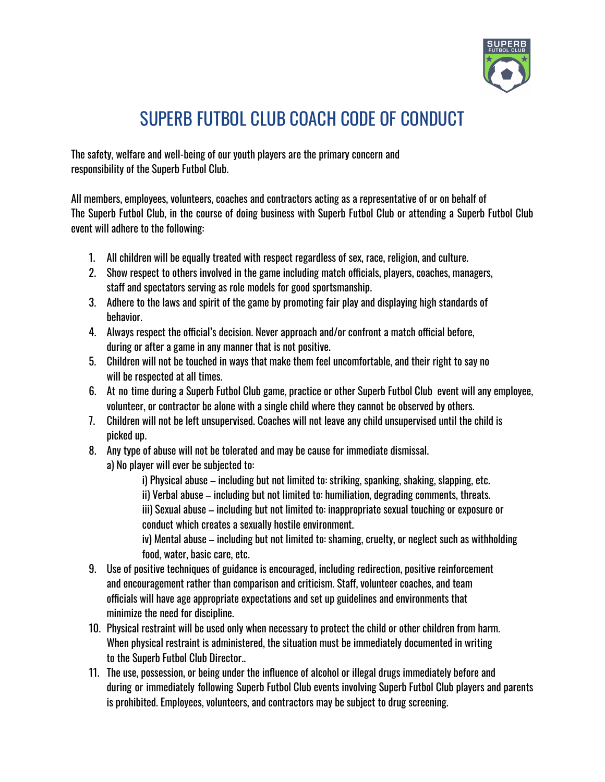

## SUPERB FUTBOL CLUB COACH CODE OF CONDUCT

The safety, welfare and well-being of our youth players are the primary concern and responsibility of the Superb Futbol Club.

All members, employees, volunteers, coaches and contractors acting as a representative of or on behalf of The Superb Futbol Club, in the course of doing business with Superb Futbol Club or attending a Superb Futbol Club event will adhere to the following:

- 1. All children will be equally treated with respect regardless of sex, race, religion, and culture.
- 2. Show respect to others involved in the game including match officials, players, coaches, managers, staff and spectators serving as role models for good sportsmanship.
- 3. Adhere to the laws and spirit of the game by promoting fair play and displaying high standards of behavior.
- 4. Always respect the official's decision. Never approach and/or confront a match official before, during or after a game in any manner that is not positive.
- 5. Children will not be touched in ways that make them feel uncomfortable, and their right to say no will be respected at all times.
- 6. At no time during a Superb Futbol Club game, practice or other Superb Futbol Club event will any employee, volunteer, or contractor be alone with a single child where they cannot be observed by others.
- 7. Children will not be left unsupervised. Coaches will not leave any child unsupervised until the child is picked up.
- 8. Any type of abuse will not be tolerated and may be cause for immediate dismissal. a) No player will ever be subjected to:
	- i) Physical abuse including but not limited to: striking, spanking, shaking, slapping, etc.
	- ii) Verbal abuse including but not limited to: humiliation, degrading comments, threats.
	- iii) Sexual abuse including but not limited to: inappropriate sexual touching or exposure or conduct which creates a sexually hostile environment.

iv) Mental abuse – including but not limited to: shaming, cruelty, or neglect such as withholding food, water, basic care, etc.

- 9. Use of positive techniques of guidance is encouraged, including redirection, positive reinforcement and encouragement rather than comparison and criticism. Staff, volunteer coaches, and team officials will have age appropriate expectations and set up guidelines and environments that minimize the need for discipline.
- 10. Physical restraint will be used only when necessary to protect the child or other children from harm. When physical restraint is administered, the situation must be immediately documented in writing to the Superb Futbol Club Director..
- 11. The use, possession, or being under the influence of alcohol or illegal drugs immediately before and during or immediately following Superb Futbol Club events involving Superb Futbol Club players and parents is prohibited. Employees, volunteers, and contractors may be subject to drug screening.